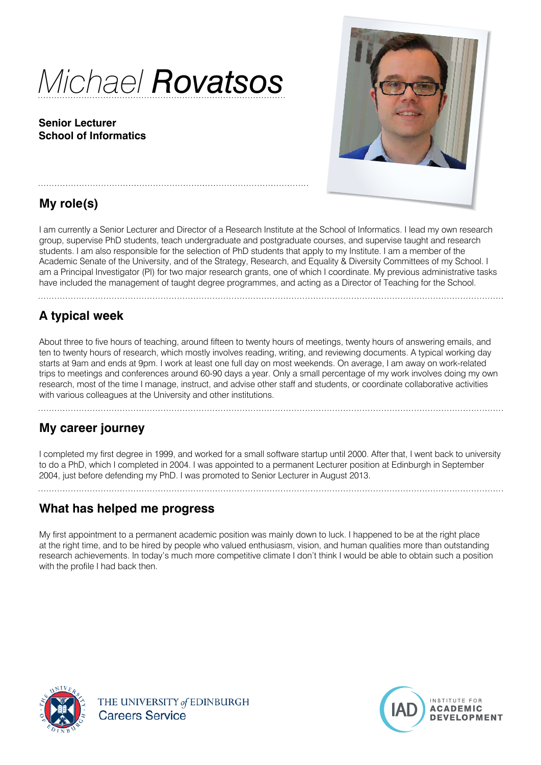# *Michael Rovatsos*

**Senior Lecturer School of Informatics**



# **My role(s)**

I am currently a Senior Lecturer and Director of a Research Institute at the School of Informatics. I lead my own research group, supervise PhD students, teach undergraduate and postgraduate courses, and supervise taught and research students. I am also responsible for the selection of PhD students that apply to my Institute. I am a member of the Academic Senate of the University, and of the Strategy, Research, and Equality & Diversity Committees of my School. I am a Principal Investigator (PI) for two major research grants, one of which I coordinate. My previous administrative tasks have included the management of taught degree programmes, and acting as a Director of Teaching for the School.

## **A typical week**

About three to five hours of teaching, around fifteen to twenty hours of meetings, twenty hours of answering emails, and ten to twenty hours of research, which mostly involves reading, writing, and reviewing documents. A typical working day starts at 9am and ends at 9pm. I work at least one full day on most weekends. On average, I am away on work-related trips to meetings and conferences around 60-90 days a year. Only a small percentage of my work involves doing my own research, most of the time I manage, instruct, and advise other staff and students, or coordinate collaborative activities with various colleagues at the University and other institutions.

# **My career journey**

I completed my first degree in 1999, and worked for a small software startup until 2000. After that, I went back to university to do a PhD, which I completed in 2004. I was appointed to a permanent Lecturer position at Edinburgh in September 2004, just before defending my PhD. I was promoted to Senior Lecturer in August 2013.

# **What has helped me progress**

My first appointment to a permanent academic position was mainly down to luck. I happened to be at the right place at the right time, and to be hired by people who valued enthusiasm, vision, and human qualities more than outstanding research achievements. In today's much more competitive climate I don't think I would be able to obtain such a position with the profile I had back then.



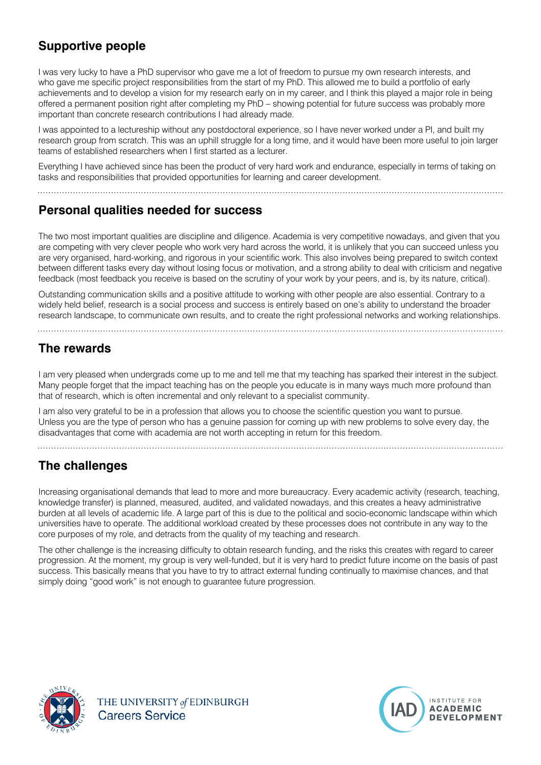## **Supportive people**

I was very lucky to have a PhD supervisor who gave me a lot of freedom to pursue my own research interests, and who gave me specific project responsibilities from the start of my PhD. This allowed me to build a portfolio of early achievements and to develop a vision for my research early on in my career, and I think this played a major role in being offered a permanent position right after completing my PhD – showing potential for future success was probably more important than concrete research contributions I had already made.

I was appointed to a lectureship without any postdoctoral experience, so I have never worked under a PI, and built my research group from scratch. This was an uphill struggle for a long time, and it would have been more useful to join larger teams of established researchers when I first started as a lecturer.

Everything I have achieved since has been the product of very hard work and endurance, especially in terms of taking on tasks and responsibilities that provided opportunities for learning and career development.

#### **Personal qualities needed for success**

The two most important qualities are discipline and diligence. Academia is very competitive nowadays, and given that you are competing with very clever people who work very hard across the world, it is unlikely that you can succeed unless you are very organised, hard-working, and rigorous in your scientific work. This also involves being prepared to switch context between different tasks every day without losing focus or motivation, and a strong ability to deal with criticism and negative feedback (most feedback you receive is based on the scrutiny of your work by your peers, and is, by its nature, critical).

Outstanding communication skills and a positive attitude to working with other people are also essential. Contrary to a widely held belief, research is a social process and success is entirely based on one's ability to understand the broader research landscape, to communicate own results, and to create the right professional networks and working relationships.

#### **The rewards**

I am very pleased when undergrads come up to me and tell me that my teaching has sparked their interest in the subject. Many people forget that the impact teaching has on the people you educate is in many ways much more profound than that of research, which is often incremental and only relevant to a specialist community.

I am also very grateful to be in a profession that allows you to choose the scientific question you want to pursue. Unless you are the type of person who has a genuine passion for coming up with new problems to solve every day, the disadvantages that come with academia are not worth accepting in return for this freedom.

**The challenges**

Increasing organisational demands that lead to more and more bureaucracy. Every academic activity (research, teaching, knowledge transfer) is planned, measured, audited, and validated nowadays, and this creates a heavy administrative burden at all levels of academic life. A large part of this is due to the political and socio-economic landscape within which universities have to operate. The additional workload created by these processes does not contribute in any way to the core purposes of my role, and detracts from the quality of my teaching and research.

The other challenge is the increasing difficulty to obtain research funding, and the risks this creates with regard to career progression. At the moment, my group is very well-funded, but it is very hard to predict future income on the basis of past success. This basically means that you have to try to attract external funding continually to maximise chances, and that simply doing "good work" is not enough to guarantee future progression.